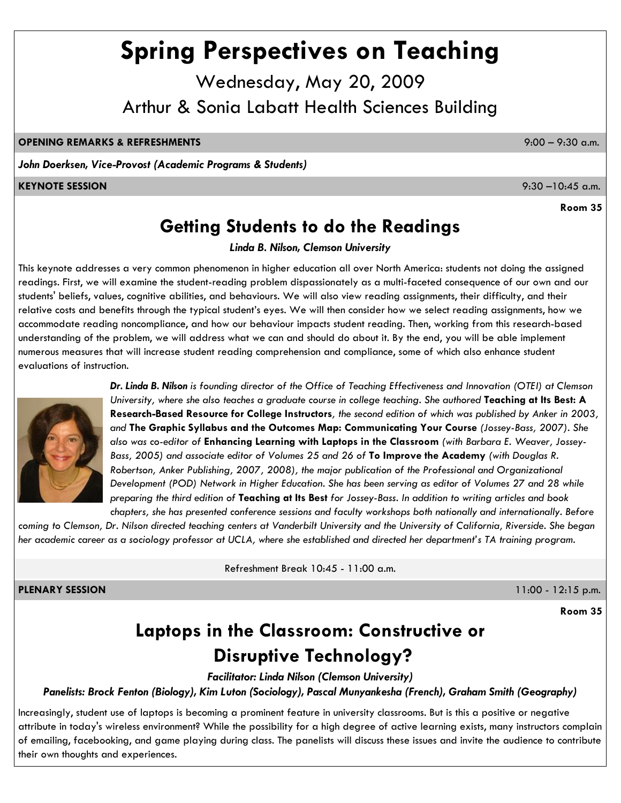# **Spring Perspectives on Teaching**

Wednesday, May 20, 2009 Arthur & Sonia Labatt Health Sciences Building

### **OPENING REMARKS & REFRESHMENTS** 9:00 – 9:30 a.m.

*John Doerksen, Vice-Provost (Academic Programs & Students)*

### **KEYNOTE SESSION** 9:30 –10:45 a.m.

**Room 35**

# **Getting Students to do the Readings**

*Linda B. Nilson, Clemson University*

This keynote addresses a very common phenomenon in higher education all over North America: students not doing the assigned readings. First, we will examine the student-reading problem dispassionately as a multi-faceted consequence of our own and our students' beliefs, values, cognitive abilities, and behaviours. We will also view reading assignments, their difficulty, and their relative costs and benefits through the typical student's eyes. We will then consider how we select reading assignments, how we accommodate reading noncompliance, and how our behaviour impacts student reading. Then, working from this research-based understanding of the problem, we will address what we can and should do about it. By the end, you will be able implement numerous measures that will increase student reading comprehension and compliance, some of which also enhance student evaluations of instruction.



*Dr. Linda B. Nilson is founding director of the Office of Teaching Effectiveness and Innovation (OTEI) at Clemson University, where she also teaches a graduate course in college teaching. She authored Teaching at Its Best: A* **Research-Based Resource for College Instructors***, the second edition of which was published by Anker in 2003, and* **The Graphic Syllabus and the Outcomes Map: Communicating Your Course** *(Jossey-Bass, 2007). She also was co-editor of* **Enhancing Learning with Laptops in the Classroom** *(with Barbara E. Weaver, Jossey-Bass, 2005) and associate editor of Volumes 25 and 26 of* **To Improve the Academy** *(with Douglas R. Robertson, Anker Publishing, 2007, 2008), the major publication of the Professional and Organizational Development (POD) Network in Higher Education. She has been serving as editor of Volumes 27 and 28 while preparing the third edition of* **Teaching at Its Best** *for Jossey-Bass. In addition to writing articles and book chapters, she has presented conference sessions and faculty workshops both nationally and internationally. Before* 

*coming to Clemson, Dr. Nilson directed teaching centers at Vanderbilt University and the University of California, Riverside. She began her academic career as a sociology professor at UCLA, where she established and directed her department's TA training program.*

Refreshment Break 10:45 - 11:00 a.m.

**PLENARY SESSION** 11:00 - 12:15 p.m.

**Room 35**

# **Laptops in the Classroom: Constructive or Disruptive Technology?**

*Facilitator: Linda Nilson (Clemson University)*

*Panelists: Brock Fenton (Biology), Kim Luton (Sociology), Pascal Munyankesha (French), Graham Smith (Geography)*

Increasingly, student use of laptops is becoming a prominent feature in university classrooms. But is this a positive or negative attribute in today's wireless environment? While the possibility for a high degree of active learning exists, many instructors complain of emailing, facebooking, and game playing during class. The panelists will discuss these issues and invite the audience to contribute their own thoughts and experiences.